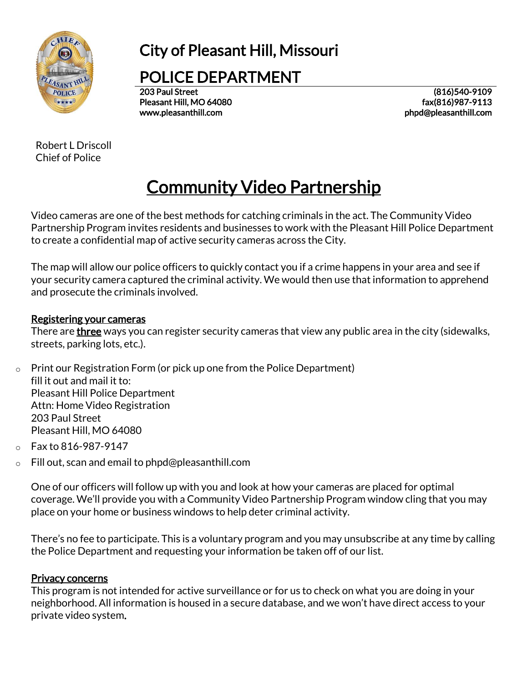

## City of Pleasant Hill, Missouri

POLICE DEPARTMENT

203 Paul Street Pleasant Hill, MO 64080 www.pleasanthill.com

(816)540-9109 fax(816)987-9113 phpd@pleasanthill.com

Robert L Driscoll Chief of Police

# Community Video Partnership

Video cameras are one of the best methods for catching criminals in the act. The Community Video Partnership Program invites residents and businesses to work with the Pleasant Hill Police Department to create a confidential map of active security cameras across the City.

The map will allow our police officers to quickly contact you if a crime happens in your area and see if your security camera captured the criminal activity. We would then use that information to apprehend and prosecute the criminals involved.

#### Registering your cameras

There are **three** ways you can register security cameras that view any public area in the city (sidewalks, streets, parking lots, etc.).

- $\circ$  Print our Registration Form (or pick up one from the Police Department) fill it out and mail it to: Pleasant Hill Police Department Attn: Home Video Registration 203 Paul Street Pleasant Hill, MO 64080
- $o$  Fax to 816-987-9147
- o Fill out, scan and email to phpd@pleasanthill.com

One of our officers will follow up with you and look at how your cameras are placed for optimal coverage. We'll provide you with a Community Video Partnership Program window cling that you may place on your home or business windows to help deter criminal activity.

There's no fee to participate. This is a voluntary program and you may [unsubscribe](mailto:spotts@merriam.org?subject=Unsubscribe%20from%20registry) at any time by calling the Police Department and requesting your information be taken off of our list.

#### Privacy concerns

This program is not intended for active surveillance or for us to check on what you are doing in your neighborhood. All information is housed in a secure database, and we won't have direct access to your private video system.